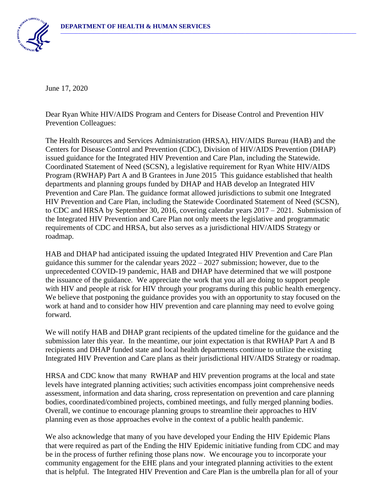

June 17, 2020

Dear Ryan White HIV/AIDS Program and Centers for Disease Control and Prevention HIV Prevention Colleagues:

The Health Resources and Services Administration (HRSA), HIV/AIDS Bureau (HAB) and the Centers for Disease Control and Prevention (CDC), Division of HIV/AIDS Prevention (DHAP) issued guidance for the Integrated HIV Prevention and Care Plan, including the Statewide. Coordinated Statement of Need (SCSN), a legislative requirement for Ryan White HIV/AIDS Program (RWHAP) Part A and B Grantees in June 2015 This guidance established that health departments and planning groups funded by DHAP and HAB develop an Integrated HIV Prevention and Care Plan. The guidance format allowed jurisdictions to submit one Integrated HIV Prevention and Care Plan, including the Statewide Coordinated Statement of Need (SCSN), to CDC and HRSA by September 30, 2016, covering calendar years 2017 – 2021. Submission of the Integrated HIV Prevention and Care Plan not only meets the legislative and programmatic requirements of CDC and HRSA, but also serves as a jurisdictional HIV/AIDS Strategy or roadmap.

HAB and DHAP had anticipated issuing the updated Integrated HIV Prevention and Care Plan guidance this summer for the calendar years  $2022 - 2027$  submission; however, due to the unprecedented COVID-19 pandemic, HAB and DHAP have determined that we will postpone the issuance of the guidance. We appreciate the work that you all are doing to support people with HIV and people at risk for HIV through your programs during this public health emergency. We believe that postponing the guidance provides you with an opportunity to stay focused on the work at hand and to consider how HIV prevention and care planning may need to evolve going forward.

We will notify HAB and DHAP grant recipients of the updated timeline for the guidance and the submission later this year. In the meantime, our joint expectation is that RWHAP Part A and B recipients and DHAP funded state and local health departments continue to utilize the existing Integrated HIV Prevention and Care plans as their jurisdictional HIV/AIDS Strategy or roadmap.

HRSA and CDC know that many RWHAP and HIV prevention programs at the local and state levels have integrated planning activities; such activities encompass joint comprehensive needs assessment, information and data sharing, cross representation on prevention and care planning bodies, coordinated/combined projects, combined meetings, and fully merged planning bodies. Overall, we continue to encourage planning groups to streamline their approaches to HIV planning even as those approaches evolve in the context of a public health pandemic.

We also acknowledge that many of you have developed your Ending the HIV Epidemic Plans that were required as part of the Ending the HIV Epidemic initiative funding from CDC and may be in the process of further refining those plans now. We encourage you to incorporate your community engagement for the EHE plans and your integrated planning activities to the extent that is helpful. The Integrated HIV Prevention and Care Plan is the umbrella plan for all of your